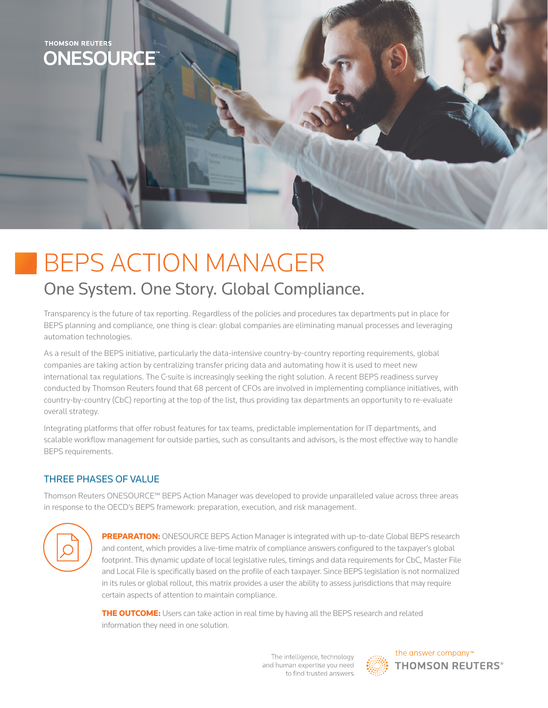

## BEPS ACTION MANAGER One System. One Story. Global Compliance.

Transparency is the future of tax reporting. Regardless of the policies and procedures tax departments put in place for BEPS planning and compliance, one thing is clear: global companies are eliminating manual processes and leveraging automation technologies.

As a result of the BEPS initiative, particularly the data-intensive country-by-country reporting requirements, global companies are taking action by centralizing transfer pricing data and automating how it is used to meet new international tax regulations. The C-suite is increasingly seeking the right solution. A recent BEPS readiness survey conducted by Thomson Reuters found that 68 percent of CFOs are involved in implementing compliance initiatives, with country-by-country (CbC) reporting at the top of the list, thus providing tax departments an opportunity to re-evaluate overall strategy.

Integrating platforms that offer robust features for tax teams, predictable implementation for IT departments, and scalable workflow management for outside parties, such as consultants and advisors, is the most effective way to handle BEPS requirements.

## THREE PHASES OF VALUE

Thomson Reuters ONESOURCE™ BEPS Action Manager was developed to provide unparalleled value across three areas in response to the OECD's BEPS framework: preparation, execution, and risk management.



PREPARATION: ONESOURCE BEPS Action Manager is integrated with up-to-date Global BEPS research and content, which provides a live-time matrix of compliance answers configured to the taxpayer's global footprint. This dynamic update of local legislative rules, timings and data requirements for CbC, Master File and Local File is specifically based on the profile of each taxpayer. Since BEPS legislation is not normalized in its rules or global rollout, this matrix provides a user the ability to assess jurisdictions that may require certain aspects of attention to maintain compliance.

THE OUTCOME: Users can take action in real time by having all the BEPS research and related information they need in one solution.

> The intelligence, technology and human expertise you need to find trusted answers.



the answer company™ **THOMSON REUTERS®**